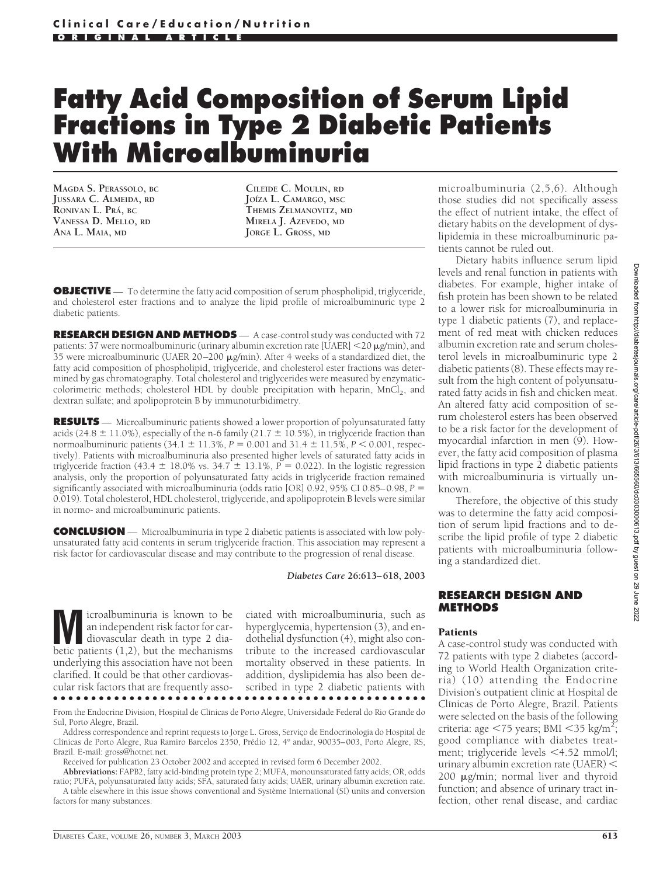# **Fatty Acid Composition of Serum Lipid Fractions in Type 2 Diabetic Patients With Microalbuminuria**

**MAGDA S. PERASSOLO, BC JUSSARA C. ALMEIDA, RD RONIVAN L. PRA´, BC VANESSA D. MELLO, RD ANA L. MAIA, MD**

**CILEIDE C. MOULIN, RD JO´IZA L. CAMARGO, MSC THEMIS ZELMANOVITZ, MD MIRELA J. AZEVEDO, MD JORGE L. GROSS, MD**

**OBJECTIVE** — To determine the fatty acid composition of serum phospholipid, triglyceride, and cholesterol ester fractions and to analyze the lipid profile of microalbuminuric type 2 diabetic patients.

**RESEARCH DESIGN AND METHODS** — A case-control study was conducted with 72 patients: 37 were normoalbuminuric (urinary albumin excretion rate [UAER]  $<$  20  $\mu$ g/min), and 35 were microalbuminuric (UAER 20-200 µg/min). After 4 weeks of a standardized diet, the fatty acid composition of phospholipid, triglyceride, and cholesterol ester fractions was determined by gas chromatography. Total cholesterol and triglycerides were measured by enzymaticcolorimetric methods; cholesterol HDL by double precipitation with heparin, MnCl<sub>2</sub>, and dextran sulfate; and apolipoprotein B by immunoturbidimetry.

**RESULTS** — Microalbuminuric patients showed a lower proportion of polyunsaturated fatty acids (24.8  $\pm$  11.0%), especially of the n-6 family (21.7  $\pm$  10.5%), in triglyceride fraction than normoalbuminuric patients  $(34.1 \pm 11.3\%, P = 0.001$  and  $31.4 \pm 11.5\%, P < 0.001$ , respectively). Patients with microalbuminuria also presented higher levels of saturated fatty acids in triglyceride fraction (43.4  $\pm$  18.0% vs. 34.7  $\pm$  13.1%, *P* = 0.022). In the logistic regression analysis, only the proportion of polyunsaturated fatty acids in triglyceride fraction remained significantly associated with microalbuminuria (odds ratio [OR] 0.92, 95% CI 0.85–0.98, *P* 0.019). Total cholesterol, HDL cholesterol, triglyceride, and apolipoprotein B levels were similar in normo- and microalbuminuric patients.

**CONCLUSION** — Microalbuminuria in type 2 diabetic patients is associated with low polyunsaturated fatty acid contents in serum triglyceride fraction. This association may represent a risk factor for cardiovascular disease and may contribute to the progression of renal disease.

*Diabetes Care* **26:613–618, 2003**

**M** icroalbuminuria is known to be<br>an independent risk factor for car-<br>diovascular death in type 2 dia-<br>hetic patients (1.2) but the mechanisms an independent risk factor for carbetic patients (1,2), but the mechanisms underlying this association have not been clarified. It could be that other cardiovascular risk factors that are frequently asso-●●●●●●●●●●●●●●●●●●●●●●●●●●●●●●●●●●●●●●●●●●●●●●●●●

ciated with microalbuminuria, such as hyperglycemia, hypertension (3), and endothelial dysfunction (4), might also contribute to the increased cardiovascular mortality observed in these patients. In addition, dyslipidemia has also been described in type 2 diabetic patients with

From the Endocrine Division, Hospital de Clínicas de Porto Alegre, Universidade Federal do Rio Grande do Sul, Porto Alegre, Brazil.

Address correspondence and reprint requests to Jorge L. Gross, Serviço de Endocrinologia do Hospital de Clínicas de Porto Alegre, Rua Ramiro Barcelos 2350, Prédio 12, 4° andar, 90035–003, Porto Alegre, RS, Brazil. E-mail: gross@hotnet.net.

Received for publication 23 October 2002 and accepted in revised form 6 December 2002.

**Abbreviations:** FAPB2, fatty acid-binding protein type 2; MUFA, monounsaturated fatty acids; OR, odds ratio; PUFA, polyunsaturated fatty acids; SFA, saturated fatty acids; UAER, urinary albumin excretion rate. A table elsewhere in this issue shows conventional and Système International (SI) units and conversion factors for many substances.

microalbuminuria (2,5,6). Although those studies did not specifically assess the effect of nutrient intake, the effect of dietary habits on the development of dyslipidemia in these microalbuminuric patients cannot be ruled out.

Dietary habits influence serum lipid levels and renal function in patients with diabetes. For example, higher intake of fish protein has been shown to be related to a lower risk for microalbuminuria in type 1 diabetic patients (7), and replacement of red meat with chicken reduces albumin excretion rate and serum cholesterol levels in microalbuminuric type 2 diabetic patients (8). These effects may result from the high content of polyunsaturated fatty acids in fish and chicken meat. An altered fatty acid composition of serum cholesterol esters has been observed to be a risk factor for the development of myocardial infarction in men (9). However, the fatty acid composition of plasma lipid fractions in type 2 diabetic patients with microalbuminuria is virtually unknown.

Therefore, the objective of this study was to determine the fatty acid composition of serum lipid fractions and to describe the lipid profile of type 2 diabetic patients with microalbuminuria following a standardized diet.

## **RESEARCH DESIGN AND METHODS**

### Patients

A case-control study was conducted with 72 patients with type 2 diabetes (according to World Health Organization criteria) (10) attending the Endocrine Division's outpatient clinic at Hospital de Clínicas de Porto Alegre, Brazil. Patients were selected on the basis of the following criteria: age  $\langle 75 \rangle$ years; BMI $\langle 35 \rangle$ kg/m<sup>2</sup>; good compliance with diabetes treatment; triglyceride levels <4.52 mmol/l; urinary albumin excretion rate (UAER) 200 µg/min; normal liver and thyroid function; and absence of urinary tract infection, other renal disease, and cardiac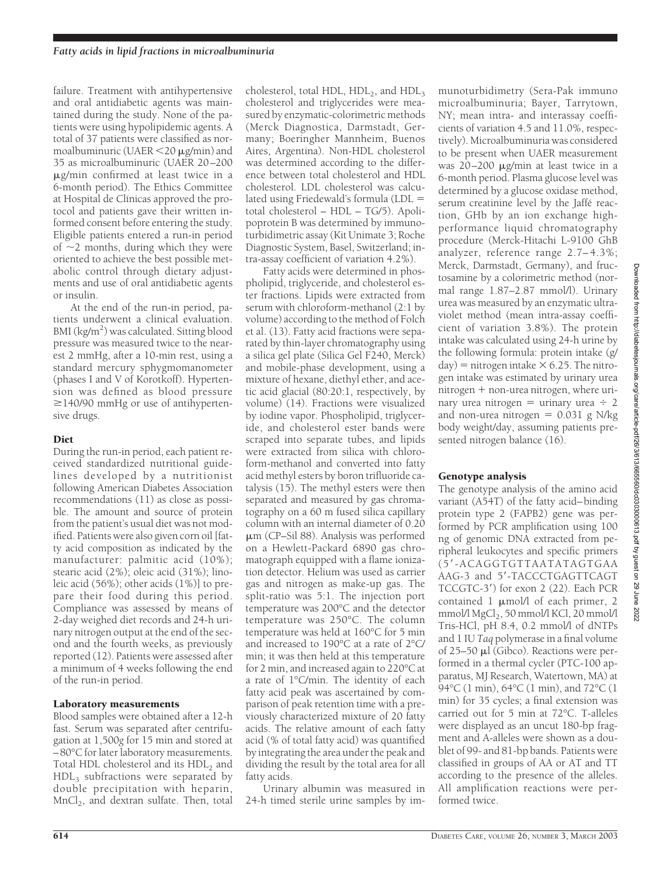failure. Treatment with antihypertensive and oral antidiabetic agents was maintained during the study. None of the patients were using hypolipidemic agents. A total of 37 patients were classified as normoalbuminuric (UAER <20  $\mu$ g/min) and 35 as microalbuminuric (UAER 20–200 -g/min confirmed at least twice in a 6-month period). The Ethics Committee at Hospital de Clínicas approved the protocol and patients gave their written informed consent before entering the study. Eligible patients entered a run-in period of  $\sim$ 2 months, during which they were oriented to achieve the best possible metabolic control through dietary adjustments and use of oral antidiabetic agents or insulin.

At the end of the run-in period, patients underwent a clinical evaluation. BMI (kg/m<sup>2</sup>) was calculated. Sitting blood pressure was measured twice to the nearest 2 mmHg, after a 10-min rest, using a standard mercury sphygmomanometer (phases I and V of Korotkoff). Hypertension was defined as blood pressure  $\geq$ 140/90 mmHg or use of antihypertensive drugs.

## Diet

During the run-in period, each patient received standardized nutritional guidelines developed by a nutritionist following American Diabetes Association recommendations (11) as close as possible. The amount and source of protein from the patient's usual diet was not modified. Patients were also given corn oil [fatty acid composition as indicated by the manufacturer: palmitic acid (10%); stearic acid (2%); oleic acid (31%); linoleic acid (56%); other acids (1%)] to prepare their food during this period. Compliance was assessed by means of 2-day weighed diet records and 24-h urinary nitrogen output at the end of the second and the fourth weeks, as previously reported (12). Patients were assessed after a minimum of 4 weeks following the end of the run-in period.

## Laboratory measurements

Blood samples were obtained after a 12-h fast. Serum was separated after centrifugation at 1,500*g* for 15 min and stored at –80°C for later laboratory measurements. Total HDL cholesterol and its HDL<sub>2</sub> and  $HDL<sub>3</sub>$  subfractions were separated by double precipitation with heparin,  $MnCl<sub>2</sub>$ , and dextran sulfate. Then, total

cholesterol, total HDL,  $HDL<sub>2</sub>$ , and  $HDL<sub>3</sub>$ cholesterol and triglycerides were measured by enzymatic-colorimetric methods (Merck Diagnostica, Darmstadt, Germany; Boeringher Mannheim, Buenos Aires, Argentina). Non-HDL cholesterol was determined according to the difference between total cholesterol and HDL cholesterol. LDL cholesterol was calculated using Friedewald's formula (LDL total cholesterol – HDL – TG/5). Apolipoprotein B was determined by immunoturbidimetric assay (Kit Unimate 3; Roche Diagnostic System, Basel, Switzerland; intra-assay coefficient of variation 4.2%).

Fatty acids were determined in phospholipid, triglyceride, and cholesterol ester fractions. Lipids were extracted from serum with chloroform-methanol (2:1 by volume) according to the method of Folch et al. (13). Fatty acid fractions were separated by thin-layer chromatography using a silica gel plate (Silica Gel F240, Merck) and mobile-phase development, using a mixture of hexane, diethyl ether, and acetic acid glacial (80:20:1, respectively, by volume) (14). Fractions were visualized by iodine vapor. Phospholipid, triglyceride, and cholesterol ester bands were scraped into separate tubes, and lipids were extracted from silica with chloroform-methanol and converted into fatty acid methyl esters by boron trifluoride catalysis (15). The methyl esters were then separated and measured by gas chromatography on a 60 m fused silica capillary column with an internal diameter of 0.20  $\mu$ m (CP-Sil 88). Analysis was performed on a Hewlett-Packard 6890 gas chromatograph equipped with a flame ionization detector. Helium was used as carrier gas and nitrogen as make-up gas. The split-ratio was 5:1. The injection port temperature was 200°C and the detector temperature was 250°C. The column temperature was held at 160°C for 5 min and increased to 190°C at a rate of 2°C/ min; it was then held at this temperature for 2 min, and increased again to 220°C at a rate of 1°C/min. The identity of each fatty acid peak was ascertained by comparison of peak retention time with a previously characterized mixture of 20 fatty acids. The relative amount of each fatty acid (% of total fatty acid) was quantified by integrating the area under the peak and dividing the result by the total area for all fatty acids.

Urinary albumin was measured in 24-h timed sterile urine samples by immunoturbidimetry (Sera-Pak immuno microalbuminuria; Bayer, Tarrytown, NY; mean intra- and interassay coefficients of variation 4.5 and 11.0%, respectively). Microalbuminuria was considered to be present when UAER measurement was 20-200 µg/min at least twice in a 6-month period. Plasma glucose level was determined by a glucose oxidase method, serum creatinine level by the Jaffé reaction, GHb by an ion exchange highperformance liquid chromatography procedure (Merck-Hitachi L-9100 GhB analyzer, reference range 2.7– 4.3%; Merck, Darmstadt, Germany), and fructosamine by a colorimetric method (normal range 1.87–2.87 mmol/l). Urinary urea was measured by an enzymatic ultraviolet method (mean intra-assay coefficient of variation 3.8%). The protein intake was calculated using 24-h urine by the following formula: protein intake (g/  $day$ ) = nitrogen intake  $\times$  6.25. The nitrogen intake was estimated by urinary urea  $nitrogen + non-urea nitrogen, where uri$ nary urea nitrogen = urinary urea  $\div$  2 and non-urea nitrogen  $= 0.031$  g N/kg body weight/day, assuming patients presented nitrogen balance (16).

## Genotype analysis

The genotype analysis of the amino acid variant (A54T) of the fatty acid–binding protein type 2 (FAPB2) gene was performed by PCR amplification using 100 ng of genomic DNA extracted from peripheral leukocytes and specific primers (5 -ACAGGTGTTAATATAGTGAA AAG-3 and 5'-TACCCTGAGTTCAGT TCCGTC-3 ) for exon 2 (22). Each PCR contained 1  $\mu$ mol/l of each primer, 2 mmol/l MgCl<sub>2</sub>, 50 mmol/l KCl, 20 mmol/l Tris-HCl, pH 8.4, 0.2 mmol/l of dNTPs and 1 IU *Taq* polymerase in a final volume of 25-50 µl (Gibco). Reactions were performed in a thermal cycler (PTC-100 apparatus, MJ Research, Watertown, MA) at 94°C (1 min), 64°C (1 min), and 72°C (1 min) for 35 cycles; a final extension was carried out for 5 min at 72°C. T-alleles were displayed as an uncut 180-bp fragment and A-alleles were shown as a doublet of 99- and 81-bp bands. Patients were classified in groups of AA or AT and TT according to the presence of the alleles. All amplification reactions were performed twice.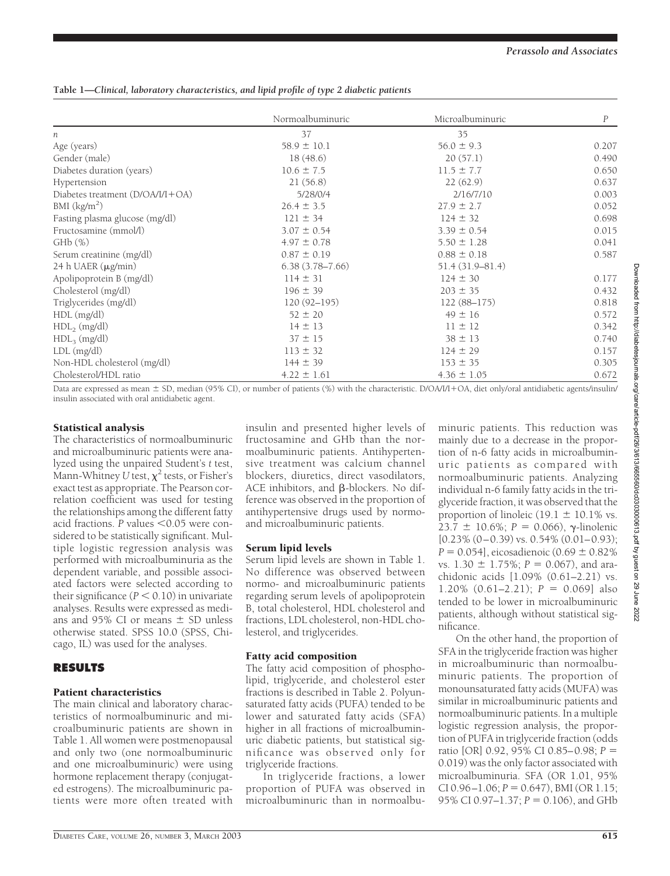# **Table 1—***Clinical, laboratory characteristics, and lipid profile of type 2 diabetic patients*

|                                    | Normoalbuminuric    | Microalbuminuric    | $\boldsymbol{P}$ |
|------------------------------------|---------------------|---------------------|------------------|
| n                                  | 37                  | 35                  |                  |
| Age (years)                        | $58.9 \pm 10.1$     | $56.0 \pm 9.3$      | 0.207            |
| Gender (male)                      | 18(48.6)            | 20(57.1)            | 0.490            |
| Diabetes duration (years)          | $10.6 \pm 7.5$      | $11.5 \pm 7.7$      | 0.650            |
| Hypertension                       | 21(56.8)            | 22(62.9)            | 0.637            |
| Diabetes treatment $(D/OA/I/I+OA)$ | 5/28/0/4            | 2/16/7/10           | 0.003            |
| BMI $(kg/m2)$                      | $26.4 \pm 3.5$      | $27.9 \pm 2.7$      | 0.052            |
| Fasting plasma glucose (mg/dl)     | $121 \pm 34$        | $124 \pm 32$        | 0.698            |
| Fructosamine (mmol/l)              | $3.07 \pm 0.54$     | $3.39 \pm 0.54$     | 0.015            |
| $GHb$ $(\%)$                       | $4.97 \pm 0.78$     | $5.50 \pm 1.28$     | 0.041            |
| Serum creatinine (mg/dl)           | $0.87 \pm 0.19$     | $0.88 \pm 0.18$     | 0.587            |
| 24 h UAER (µg/min)                 | $6.38(3.78 - 7.66)$ | $51.4(31.9 - 81.4)$ |                  |
| Apolipoprotein B (mg/dl)           | $114 \pm 31$        | $124 \pm 30$        | 0.177            |
| Cholesterol (mg/dl)                | $196 \pm 39$        | $203 \pm 35$        | 0.432            |
| Triglycerides (mg/dl)              | $120(92 - 195)$     | $122(88-175)$       | 0.818            |
| $HDL$ (mg/dl)                      | $52 \pm 20$         | $49 \pm 16$         | 0.572            |
| $HDL2$ (mg/dl)                     | $14 \pm 13$         | $11 \pm 12$         | 0.342            |
| HDL <sub>3</sub> (mg/dl)           | $37 \pm 15$         | $38 \pm 13$         | 0.740            |
| LDL (mg/dl)                        | $113 \pm 32$        | $124 \pm 29$        | 0.157            |
| Non-HDL cholesterol (mg/dl)        | $144 \pm 39$        | $153 \pm 35$        | 0.305            |
| Cholesterol/HDL ratio              | $4.22 \pm 1.61$     | $4.36 \pm 1.05$     | 0.672            |

Data are expressed as mean  $\pm$  SD, median (95% CI), or number of patients (%) with the characteristic. D/OA/I/I+OA, diet only/oral antidiabetic agents/insulin/ insulin associated with oral antidiabetic agent.

## Statistical analysis

The characteristics of normoalbuminuric and microalbuminuric patients were analyzed using the unpaired Student's *t* test, Mann-Whitney U test,  $\chi^2$  tests, or Fisher's exact test as appropriate. The Pearson correlation coefficient was used for testing the relationships among the different fatty acid fractions. *P* values <0.05 were considered to be statistically significant. Multiple logistic regression analysis was performed with microalbuminuria as the dependent variable, and possible associated factors were selected according to their significance  $(P < 0.10)$  in univariate analyses. Results were expressed as medians and 95% CI or means  $\pm$  SD unless otherwise stated. SPSS 10.0 (SPSS, Chicago, IL) was used for the analyses.

# **RESULTS**

## Patient characteristics

The main clinical and laboratory characteristics of normoalbuminuric and microalbuminuric patients are shown in Table 1. All women were postmenopausal and only two (one normoalbuminuric and one microalbuminuric) were using hormone replacement therapy (conjugated estrogens). The microalbuminuric patients were more often treated with

insulin and presented higher levels of fructosamine and GHb than the normoalbuminuric patients. Antihypertensive treatment was calcium channel blockers, diuretics, direct vasodilators,  $ACE$  inhibitors, and  $\beta$ -blockers. No difference was observed in the proportion of antihypertensive drugs used by normoand microalbuminuric patients.

## Serum lipid levels

Serum lipid levels are shown in Table 1. No difference was observed between normo- and microalbuminuric patients regarding serum levels of apolipoprotein B, total cholesterol, HDL cholesterol and fractions, LDL cholesterol, non-HDL cholesterol, and triglycerides.

## Fatty acid composition

The fatty acid composition of phospholipid, triglyceride, and cholesterol ester fractions is described in Table 2. Polyunsaturated fatty acids (PUFA) tended to be lower and saturated fatty acids (SFA) higher in all fractions of microalbuminuric diabetic patients, but statistical significance was observed only for triglyceride fractions.

In triglyceride fractions, a lower proportion of PUFA was observed in microalbuminuric than in normoalbuminuric patients. This reduction was mainly due to a decrease in the proportion of n-6 fatty acids in microalbuminuric patients as compared with normoalbuminuric patients. Analyzing individual n-6 family fatty acids in the triglyceride fraction, it was observed that the proportion of linoleic (19.1  $\pm$  10.1% vs. 23.7  $\pm$  10.6%; *P* = 0.066),  $\gamma$ -linolenic  $[0.23\% (0-0.39)$  vs.  $0.54\% (0.01-0.93)$ ;  $P = 0.054$ , eicosadienoic (0.69  $\pm$  0.82%) vs.  $1.30 \pm 1.75\%$ ;  $P = 0.067$ ), and arachidonic acids [1.09% (0.61–2.21) vs.  $1.20\%$   $(0.61-2.21)$ ;  $P = 0.069$ ] also tended to be lower in microalbuminuric patients, although without statistical significance.

On the other hand, the proportion of SFA in the triglyceride fraction was higher in microalbuminuric than normoalbuminuric patients. The proportion of monounsaturated fatty acids (MUFA) was similar in microalbuminuric patients and normoalbuminuric patients. In a multiple logistic regression analysis, the proportion of PUFA in triglyceride fraction (odds ratio [OR] 0.92, 95% CI 0.85–0.98; *P* 0.019) was the only factor associated with microalbuminuria. SFA (OR 1.01, 95%  $CI$  0.96 $-1.06$ ;  $P = 0.647$ ), BMI (OR 1.15; 95% CI 0.97 $-1.37$ ;  $P = 0.106$ ), and GHb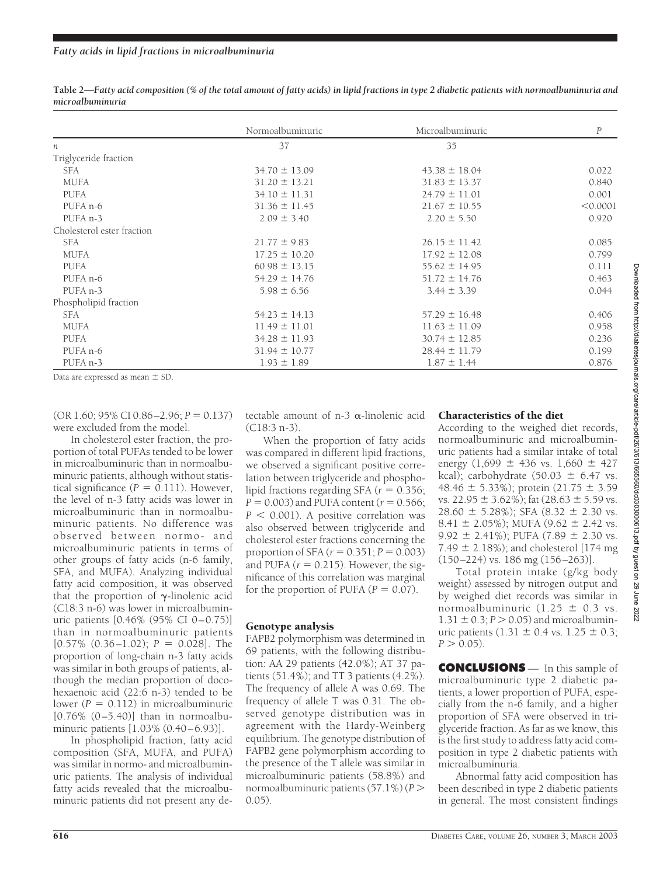|                            | Normoalbuminuric  | Microalbuminuric  | $\boldsymbol{P}$ |
|----------------------------|-------------------|-------------------|------------------|
| n                          | 37                | 35                |                  |
| Triglyceride fraction      |                   |                   |                  |
| SFA                        | $34.70 \pm 13.09$ | $43.38 \pm 18.04$ | 0.022            |
| <b>MUFA</b>                | $31.20 \pm 13.21$ | $31.83 \pm 13.37$ | 0.840            |
| <b>PUFA</b>                | $34.10 \pm 11.31$ | $24.79 \pm 11.01$ | 0.001            |
| PUFA n-6                   | $31.36 \pm 11.45$ | $21.67 \pm 10.55$ | < 0.0001         |
| PUFA <sub>n-3</sub>        | $2.09 \pm 3.40$   | $2.20 \pm 5.50$   | 0.920            |
| Cholesterol ester fraction |                   |                   |                  |
| SFA                        | $21.77 \pm 9.83$  | $26.15 \pm 11.42$ | 0.085            |
| <b>MUFA</b>                | $17.25 \pm 10.20$ | $17.92 \pm 12.08$ | 0.799            |
| <b>PUFA</b>                | $60.98 \pm 13.15$ | $55.62 \pm 14.95$ | 0.111            |
| PUFA n-6                   | $54.29 \pm 14.76$ | $51.72 \pm 14.76$ | 0.463            |
| PUFA <sub>n-3</sub>        | $5.98 \pm 6.56$   | $3.44 \pm 3.39$   | 0.044            |
| Phospholipid fraction      |                   |                   |                  |
| SFA                        | $54.23 \pm 14.13$ | $57.29 \pm 16.48$ | 0.406            |
| <b>MUFA</b>                | $11.49 \pm 11.01$ | $11.63 \pm 11.09$ | 0.958            |
| <b>PUFA</b>                | $34.28 \pm 11.93$ | $30.74 \pm 12.85$ | 0.236            |
| PUFA <sub>n-6</sub>        | $31.94 \pm 10.77$ | $28.44 \pm 11.79$ | 0.199            |
| PUFA <sub>n-3</sub>        | $1.93 \pm 1.89$   | $1.87 \pm 1.44$   | 0.876            |

**Table 2—***Fatty acid composition (% of the total amount of fatty acids) in lipid fractions in type 2 diabetic patients with normoalbuminuria and microalbuminuria*

Data are expressed as mean  $\pm$  SD.

 $(OR 1.60; 95\% CI 0.86 - 2.96; P = 0.137)$ were excluded from the model.

In cholesterol ester fraction, the proportion of total PUFAs tended to be lower in microalbuminuric than in normoalbuminuric patients, although without statistical significance  $(P = 0.111)$ . However, the level of n-3 fatty acids was lower in microalbuminuric than in normoalbuminuric patients. No difference was observed between normo- and microalbuminuric patients in terms of other groups of fatty acids (n-6 family, SFA, and MUFA). Analyzing individual fatty acid composition, it was observed that the proportion of  $\gamma$ -linolenic acid (C18:3 n-6) was lower in microalbuminuric patients [0.46% (95% CI 0–0.75)] than in normoalbuminuric patients  $[0.57\% (0.36-1.02); P = 0.028]$ . The proportion of long-chain n-3 fatty acids was similar in both groups of patients, although the median proportion of docohexaenoic acid (22:6 n-3) tended to be lower  $(P = 0.112)$  in microalbuminuric  $[0.76\% (0-5.40)]$  than in normoalbuminuric patients [1.03% (0.40–6.93)].

In phospholipid fraction, fatty acid composition (SFA, MUFA, and PUFA) was similar in normo- and microalbuminuric patients. The analysis of individual fatty acids revealed that the microalbuminuric patients did not present any detectable amount of  $n-3$   $\alpha$ -linolenic acid (C18:3 n-3).

When the proportion of fatty acids was compared in different lipid fractions, we observed a significant positive correlation between triglyceride and phospholipid fractions regarding SFA ( $r = 0.356$ ;  $P = 0.003$ ) and PUFA content ( $r = 0.566$ ;  $P < 0.001$ ). A positive correlation was also observed between triglyceride and cholesterol ester fractions concerning the proportion of SFA  $(r = 0.351; P = 0.003)$ and PUFA  $(r = 0.215)$ . However, the significance of this correlation was marginal for the proportion of PUFA  $(P = 0.07)$ .

## Genotype analysis

FAPB2 polymorphism was determined in 69 patients, with the following distribution: AA 29 patients (42.0%); AT 37 patients (51.4%); and TT 3 patients (4.2%). The frequency of allele A was 0.69. The frequency of allele T was 0.31. The observed genotype distribution was in agreement with the Hardy-Weinberg equilibrium. The genotype distribution of FAPB2 gene polymorphism according to the presence of the T allele was similar in microalbuminuric patients (58.8%) and normoalbuminuric patients (57.1%) (*P* 0.05).

## Characteristics of the diet

According to the weighed diet records, normoalbuminuric and microalbuminuric patients had a similar intake of total energy  $(1,699 \pm 436 \text{ vs. } 1,660 \pm 427)$ kcal); carbohydrate  $(50.03 \pm 6.47 \text{ vs.})$ 48.46  $\pm$  5.33%); protein (21.75  $\pm$  3.59 vs. 22.95  $\pm$  3.62%); fat (28.63  $\pm$  5.59 vs.  $28.60 \pm 5.28\%$ ; SFA  $(8.32 \pm 2.30 \text{ vs.})$ 8.41  $\pm$  2.05%); MUFA (9.62  $\pm$  2.42 vs. 9.92  $\pm$  2.41%); PUFA (7.89  $\pm$  2.30 vs. 7.49  $\pm$  2.18%); and cholesterol [174 mg (150–224) vs. 186 mg (156–263)].

Total protein intake (g/kg body weight) assessed by nitrogen output and by weighed diet records was similar in normoalbuminuric  $(1.25 \pm 0.3 \text{ vs.})$  $1.31 \pm 0.3$ ;  $P > 0.05$ ) and microalbuminuric patients  $(1.31 \pm 0.4 \text{ vs. } 1.25 \pm 0.3;$  $P > 0.05$ .

**CONCLUSIONS** — In this sample of microalbuminuric type 2 diabetic patients, a lower proportion of PUFA, especially from the n-6 family, and a higher proportion of SFA were observed in triglyceride fraction. As far as we know, this is the first study to address fatty acid composition in type 2 diabetic patients with microalbuminuria.

Abnormal fatty acid composition has been described in type 2 diabetic patients in general. The most consistent findings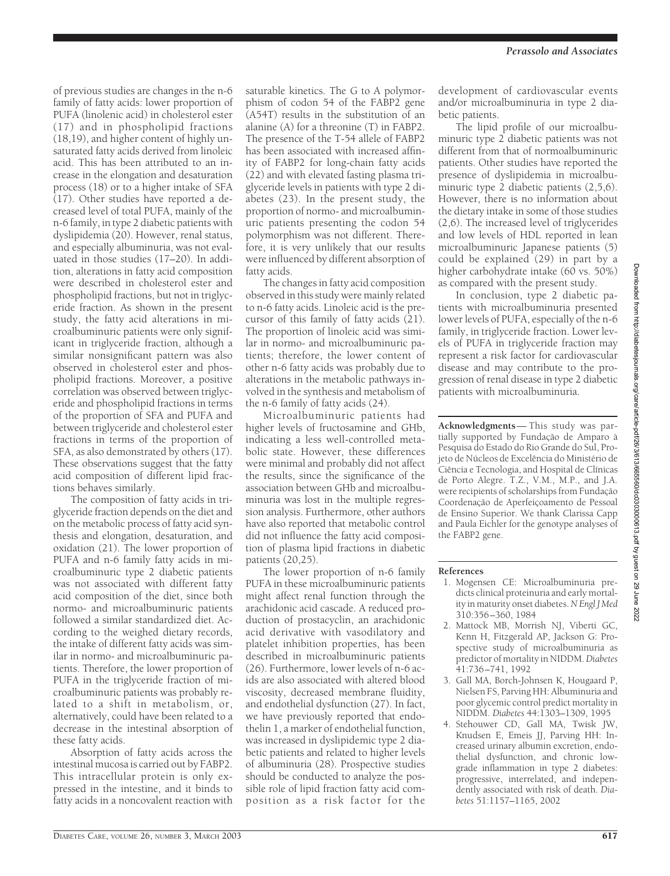of previous studies are changes in the n-6 family of fatty acids: lower proportion of PUFA (linolenic acid) in cholesterol ester (17) and in phospholipid fractions (18,19), and higher content of highly unsaturated fatty acids derived from linoleic acid. This has been attributed to an increase in the elongation and desaturation process (18) or to a higher intake of SFA (17). Other studies have reported a decreased level of total PUFA, mainly of the n-6 family, in type 2 diabetic patients with dyslipidemia (20). However, renal status, and especially albuminuria, was not evaluated in those studies (17–20). In addition, alterations in fatty acid composition were described in cholesterol ester and phospholipid fractions, but not in triglyceride fraction. As shown in the present study, the fatty acid alterations in microalbuminuric patients were only significant in triglyceride fraction, although a similar nonsignificant pattern was also observed in cholesterol ester and phospholipid fractions. Moreover, a positive correlation was observed between triglyceride and phospholipid fractions in terms of the proportion of SFA and PUFA and between triglyceride and cholesterol ester fractions in terms of the proportion of SFA, as also demonstrated by others (17). These observations suggest that the fatty acid composition of different lipid fractions behaves similarly.

The composition of fatty acids in triglyceride fraction depends on the diet and on the metabolic process of fatty acid synthesis and elongation, desaturation, and oxidation (21). The lower proportion of PUFA and n-6 family fatty acids in microalbuminuric type 2 diabetic patients was not associated with different fatty acid composition of the diet, since both normo- and microalbuminuric patients followed a similar standardized diet. According to the weighed dietary records, the intake of different fatty acids was similar in normo- and microalbuminuric patients. Therefore, the lower proportion of PUFA in the triglyceride fraction of microalbuminuric patients was probably related to a shift in metabolism, or, alternatively, could have been related to a decrease in the intestinal absorption of these fatty acids.

Absorption of fatty acids across the intestinal mucosa is carried out by FABP2. This intracellular protein is only expressed in the intestine, and it binds to fatty acids in a noncovalent reaction with

saturable kinetics. The G to A polymorphism of codon 54 of the FABP2 gene (A54T) results in the substitution of an alanine (A) for a threonine (T) in FABP2. The presence of the T-54 allele of FABP2 has been associated with increased affinity of FABP2 for long-chain fatty acids (22) and with elevated fasting plasma triglyceride levels in patients with type 2 diabetes (23). In the present study, the proportion of normo- and microalbuminuric patients presenting the codon 54 polymorphism was not different. Therefore, it is very unlikely that our results were influenced by different absorption of fatty acids.

The changes in fatty acid composition observed in this study were mainly related to n-6 fatty acids. Linoleic acid is the precursor of this family of fatty acids (21). The proportion of linoleic acid was similar in normo- and microalbuminuric patients; therefore, the lower content of other n-6 fatty acids was probably due to alterations in the metabolic pathways involved in the synthesis and metabolism of the n-6 family of fatty acids (24).

Microalbuminuric patients had higher levels of fructosamine and GHb, indicating a less well-controlled metabolic state. However, these differences were minimal and probably did not affect the results, since the significance of the association between GHb and microalbuminuria was lost in the multiple regression analysis. Furthermore, other authors have also reported that metabolic control did not influence the fatty acid composition of plasma lipid fractions in diabetic patients (20,25).

The lower proportion of n-6 family PUFA in these microalbuminuric patients might affect renal function through the arachidonic acid cascade. A reduced production of prostacyclin, an arachidonic acid derivative with vasodilatory and platelet inhibition properties, has been described in microalbuminuric patients (26). Furthermore, lower levels of n-6 acids are also associated with altered blood viscosity, decreased membrane fluidity, and endothelial dysfunction (27). In fact, we have previously reported that endothelin 1, a marker of endothelial function, was increased in dyslipidemic type 2 diabetic patients and related to higher levels of albuminuria (28). Prospective studies should be conducted to analyze the possible role of lipid fraction fatty acid composition as a risk factor for the

development of cardiovascular events and/or microalbuminuria in type 2 diabetic patients.

The lipid profile of our microalbuminuric type 2 diabetic patients was not different from that of normoalbuminuric patients. Other studies have reported the presence of dyslipidemia in microalbuminuric type 2 diabetic patients (2,5,6). However, there is no information about the dietary intake in some of those studies (2,6). The increased level of triglycerides and low levels of HDL reported in lean microalbuminuric Japanese patients (5) could be explained (29) in part by a higher carbohydrate intake (60 vs. 50%) as compared with the present study.

In conclusion, type 2 diabetic patients with microalbuminuria presented lower levels of PUFA, especially of the n-6 family, in triglyceride fraction. Lower levels of PUFA in triglyceride fraction may represent a risk factor for cardiovascular disease and may contribute to the progression of renal disease in type 2 diabetic patients with microalbuminuria.

**Acknowledgments**— This study was partially supported by Fundação de Amparo à Pesquisa do Estado do Rio Grande do Sul, Projeto de Núcleos de Excelência do Ministério de Ciência e Tecnologia, and Hospital de Clínicas de Porto Alegre. T.Z., V.M., M.P., and J.A. were recipients of scholarships from Fundação Coordenação de Aperfeiçoamento de Pessoal de Ensino Superior. We thank Clarissa Capp and Paula Eichler for the genotype analyses of the FABP2 gene.

### **References**

- 1. Mogensen CE: Microalbuminuria predicts clinical proteinuria and early mortality in maturity onset diabetes.*N Engl J Med* 310:356–360, 1984
- 2. Mattock MB, Morrish NJ, Viberti GC, Kenn H, Fitzgerald AP, Jackson G: Prospective study of microalbuminuria as predictor of mortality in NIDDM.*Diabetes* 41:736–741, 1992
- 3. Gall MA, Borch-Johnsen K, Hougaard P, Nielsen FS, Parving HH: Albuminuria and poor glycemic control predict mortality in NIDDM. *Diabetes* 44:1303–1309, 1995
- 4. Stehouwer CD, Gall MA, Twisk JW, Knudsen E, Emeis JJ, Parving HH: Increased urinary albumin excretion, endothelial dysfunction, and chronic lowgrade inflammation in type 2 diabetes: progressive, interrelated, and independently associated with risk of death. *Diabetes* 51:1157–1165, 2002